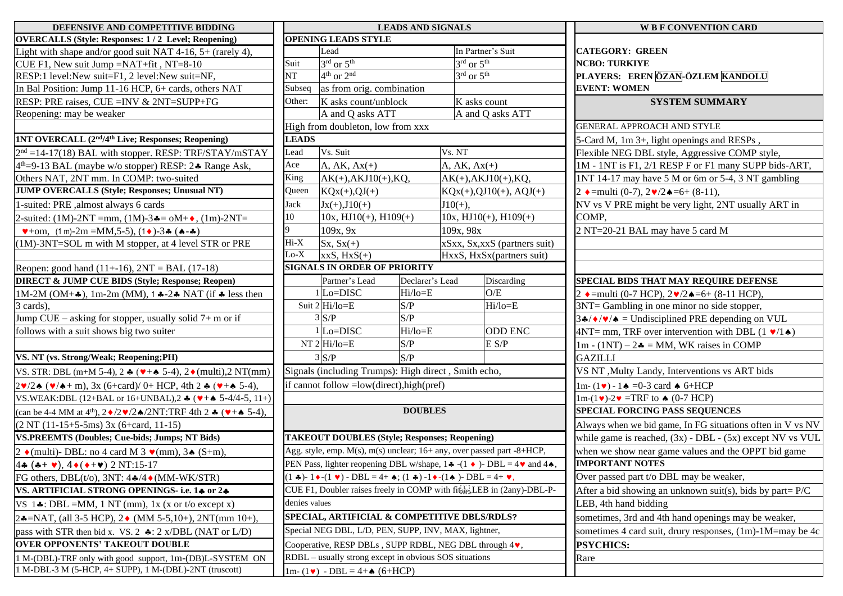| DEFENSIVE AND COMPETITIVE BIDDING                                                                                                                                        |               |                                                                                                                                             | <b>LEADS AND SIGNALS</b> |                                    |                                                                                                         |
|--------------------------------------------------------------------------------------------------------------------------------------------------------------------------|---------------|---------------------------------------------------------------------------------------------------------------------------------------------|--------------------------|------------------------------------|---------------------------------------------------------------------------------------------------------|
| <b>OVERCALLS (Style: Responses: 1/2 Level; Reopening)</b>                                                                                                                |               | <b>OPENING LEADS STYLE</b>                                                                                                                  |                          |                                    |                                                                                                         |
| Light with shape and/or good suit NAT 4-16, $5+$ (rarely 4),                                                                                                             |               | Lead                                                                                                                                        |                          |                                    | In Partner's Suit                                                                                       |
| CUE F1, New suit Jump =NAT+fit, NT=8-10                                                                                                                                  | Suit          | $3^{\overline{\text{rd}} \text{ or } 5^{\text{th}}}$                                                                                        |                          | $3^{\text{rd}}$ or $5^{\text{th}}$ |                                                                                                         |
| RESP:1 level:New suit=F1, 2 level:New suit=NF,                                                                                                                           | NT            | $4th$ or $2nd$                                                                                                                              |                          | $3^{\text{rd}}$ or $5^{\text{th}}$ |                                                                                                         |
| In Bal Position: Jump 11-16 HCP, 6+ cards, others NAT                                                                                                                    | Subseq        | as from orig. combination                                                                                                                   |                          |                                    |                                                                                                         |
| RESP: PRE raises, CUE = INV & 2NT=SUPP+FG                                                                                                                                | Other:        | K asks count/unblock                                                                                                                        |                          |                                    | K asks count                                                                                            |
| Reopening: may be weaker                                                                                                                                                 |               | A and Q asks ATT                                                                                                                            |                          |                                    | A and Q asks ATT                                                                                        |
|                                                                                                                                                                          |               | High from doubleton, low from xxx                                                                                                           |                          |                                    |                                                                                                         |
| <b>1NT OVERCALL (2nd/4th Live; Responses; Reopening)</b>                                                                                                                 | <b>LEADS</b>  |                                                                                                                                             |                          |                                    |                                                                                                         |
| $2nd = 14-17(18)$ BAL with stopper. RESP: TRF/STAY/mSTAY                                                                                                                 | Lead          | Vs. Suit                                                                                                                                    |                          | Vs. NT                             |                                                                                                         |
| 4 <sup>th</sup> =9-13 BAL (maybe w/o stopper) RESP: 2. Range Ask,                                                                                                        | Ace           | $A, AK, Ax(+)$                                                                                                                              |                          | $A, AK, Ax(+)$                     |                                                                                                         |
| Others NAT, 2NT mm. In COMP: two-suited                                                                                                                                  | King          | $AK(+), AKJ10(+), KQ,$                                                                                                                      |                          |                                    | $AK(+), AKJ10(+), KQ,$                                                                                  |
| <b>JUMP OVERCALLS (Style; Responses; Unusual NT)</b>                                                                                                                     | Queen         | $KQx(+),QJ(+)$                                                                                                                              |                          |                                    | $KQx(+),QJ10(+), AQJ(+)$                                                                                |
| 1-suited: PRE , almost always 6 cards                                                                                                                                    | Jack          | $Jx(+),J10(+)$                                                                                                                              |                          | $J10(+)$ ,                         |                                                                                                         |
| 2-suited: (1M)-2NT =mm, (1M)-3 $\triangle = \text{oM} + \diamond$ , (1m)-2NT=                                                                                            | 10            | $10x$ , HJ $10(+)$ , H $109(+)$                                                                                                             |                          |                                    | $10x$ , $HJ10(+)$ , $H109(+)$                                                                           |
| $\blacktriangleright$ +om, (1 m)-2m =MM,5-5), (1 $\blacktriangleright$ )-3 $\blacktriangleleft$ ( $\blacktriangleleft$ - $\blacktriangleleft$ )                          | 9             | 109x, 9x                                                                                                                                    |                          | 109x, 98x                          |                                                                                                         |
| (1M)-3NT=SOL m with M stopper, at 4 level STR or PRE                                                                                                                     | Hi-X          | $Sx, Sx(+)$                                                                                                                                 |                          |                                    | xSxx, Sx, xxS (partners suit)                                                                           |
|                                                                                                                                                                          | $Lo-X$        | $xxS, HxS(+)$                                                                                                                               |                          |                                    | HxxS, HxSx(partners suit)                                                                               |
| Reopen: good hand $(11+16)$ , $2NT = BAL (17-18)$                                                                                                                        |               | <b>SIGNALS IN ORDER OF PRIORITY</b>                                                                                                         |                          |                                    |                                                                                                         |
| <b>DIRECT &amp; JUMP CUE BIDS (Style; Response; Reopen)</b>                                                                                                              |               | Partner's Lead                                                                                                                              | Declarer's Lead          |                                    | Discarding                                                                                              |
| 1M-2M (OM+ $\clubsuit$ ), 1m-2m (MM), 1 $\clubsuit$ -2 $\clubsuit$ NAT (if $\clubsuit$ less then                                                                         |               | $1$ Lo=DISC                                                                                                                                 | Hi/lo=E                  |                                    | O/E                                                                                                     |
| 3 cards),                                                                                                                                                                |               | Suit 2 Hi/lo=E                                                                                                                              | S/P                      |                                    | $Hi/lo = E$                                                                                             |
| Jump CUE – asking for stopper, usually solid 7+ m or if                                                                                                                  |               | 3 S/P                                                                                                                                       | S/P                      |                                    |                                                                                                         |
| follows with a suit shows big two suiter                                                                                                                                 |               | $1$ Lo=DISC                                                                                                                                 | Hi/lo=E                  |                                    | <b>ODD ENC</b>                                                                                          |
|                                                                                                                                                                          |               | $NT 2 Hi/io=E$                                                                                                                              | S/P                      |                                    | E S/P                                                                                                   |
| VS. NT (vs. Strong/Weak; Reopening;PH)                                                                                                                                   |               | $3$ S/P                                                                                                                                     | S/P                      |                                    |                                                                                                         |
| VS. STR: DBL (m+M 5-4), 2 $\star$ ( $\bullet + \bullet$ 5-4), 2 $\bullet$ (multi), 2 NT(mm)                                                                              |               | Signals (including Trumps): High direct, Smith echo,                                                                                        |                          |                                    |                                                                                                         |
| $2\mathbf{v}/2\mathbf{A}$ ( $\mathbf{v}/4 + m$ ), 3x (6+card)/ 0+ HCP, 4th 2 $\mathbf{\hat{v}}$ ( $\mathbf{v}$ + $\mathbf{\hat{a}}$ 5-4),                                |               | if cannot follow = low(direct), high(pref)                                                                                                  |                          |                                    |                                                                                                         |
| VS.WEAK: DBL (12+BAL or 16+UNBAL), 2 $\clubsuit$ ( $\blacktriangledown + \spadesuit$ 5-4/4-5, 11+)                                                                       |               |                                                                                                                                             |                          |                                    |                                                                                                         |
| (can be 4-4 MM at 4 <sup>th</sup> ), $2\blacklozenge/2\blacktriangledown/2\blacktriangle/2NT$ : TRF 4th 2 $\blacktriangle$ ( $\blacktriangledown + \blacktriangle$ 5-4), |               |                                                                                                                                             | <b>DOUBLES</b>           |                                    |                                                                                                         |
| $(2 NT (11-15+5-5ms) 3x (6+card, 11-15))$                                                                                                                                |               |                                                                                                                                             |                          |                                    |                                                                                                         |
| <b>VS.PREEMTS (Doubles; Cue-bids; Jumps; NT Bids)</b>                                                                                                                    |               | <b>TAKEOUT DOUBLES (Style; Responses; Reopening)</b>                                                                                        |                          |                                    |                                                                                                         |
| 2 (multi)- DBL: no 4 card M 3 $\mathbf{v}$ (mm), 3 $\mathbf{A}$ (S+m),                                                                                                   |               | Agg. style, emp. M(s), m(s) unclear; 16+ any, over passed part -8+HCP,                                                                      |                          |                                    |                                                                                                         |
| 44 (4+ $\vee$ ), 4 $\bullet$ ( $\bullet$ + $\vee$ ) 2 NT:15-17                                                                                                           |               |                                                                                                                                             |                          |                                    | PEN Pass, lighter reopening DBL w/shape, 14 -(1 $\bullet$ )- DBL = 4 $\bullet$ and 44                   |
| FG others, DBL(t/o), 3NT: $4\cdot/4 \cdot (MM-WK/STR)$                                                                                                                   |               | $(1 \cdot \bullet) - 1 \cdot (1 \cdot \bullet) - DBL = 4 + \bullet$ ; $(1 \cdot \bullet) - 1 \cdot (1 \cdot \bullet) - DBL = 4 + \bullet$ , |                          |                                    |                                                                                                         |
| VS. ARTIFICIAL STRONG OPENINGS- i.e. 14 or 24                                                                                                                            |               |                                                                                                                                             |                          |                                    | CUE F1, Doubler raises freely in COMP with $\tilde{\text{It}}_{\text{SEP},s}^{[1]}$ LEB in (2any)-DBL-P |
| VS $1\clubsuit$ : DBL =MM, 1 NT (mm), 1x (x or t/o except x)                                                                                                             | denies values |                                                                                                                                             |                          |                                    |                                                                                                         |
| 24=NAT, (all 3-5 HCP), 2 $\bullet$ (MM 5-5,10+), 2NT(mm 10+),                                                                                                            |               | SPECIAL, ARTIFICIAL & COMPETITIVE DBLS/RDLS?                                                                                                |                          |                                    |                                                                                                         |
| pass with STR then bid x. VS. 2 $\clubsuit$ : 2 x/DBL (NAT or L/D)                                                                                                       |               | Special NEG DBL, L/D, PEN, SUPP, INV, MAX, lightner,                                                                                        |                          |                                    |                                                                                                         |
| <b>OVER OPPONENTS' TAKEOUT DOUBLE</b>                                                                                                                                    |               | Cooperative, RESP DBLs, SUPP RDBL, NEG DBL through 4v,                                                                                      |                          |                                    |                                                                                                         |
| 1 M-(DBL)-TRF only with good support, 1m-(DB)L-SYSTEM ON                                                                                                                 |               | RDBL – usually strong except in obvious SOS situations                                                                                      |                          |                                    |                                                                                                         |
| 1 M-DBL-3 M (5-HCP, 4+ SUPP), 1 M-(DBL)-2NT (truscott)                                                                                                                   |               | $1m-(1\bullet) - DBL = 4 + \bullet (6+HCP)$                                                                                                 |                          |                                    |                                                                                                         |

| DEFENSIVE AND COMPETITIVE BIDDING                                                                                            |               |                                                                                                                                   | <b>LEADS AND SIGNALS</b> |                                         |                               | <b>W B F CONVENTION CARD</b>                                             |
|------------------------------------------------------------------------------------------------------------------------------|---------------|-----------------------------------------------------------------------------------------------------------------------------------|--------------------------|-----------------------------------------|-------------------------------|--------------------------------------------------------------------------|
| <b>OVERCALLS (Style: Responses: 1/2 Level; Reopening)</b>                                                                    |               | <b>OPENING LEADS STYLE</b>                                                                                                        |                          |                                         |                               |                                                                          |
| Light with shape and/or good suit NAT 4-16, 5+ (rarely 4),                                                                   |               | Lead                                                                                                                              |                          | In Partner's Suit                       |                               | <b>CATEGORY: GREEN</b>                                                   |
| CUE F1, New suit Jump = $NAT + fit$ , NT=8-10                                                                                | Suit          | $3rd$ or $5th$                                                                                                                    |                          | $3^{\text{rd}}$ or $5^{\text{th}}$      |                               | <b>NCBO: TURKIYE</b>                                                     |
| RESP:1 level:New suit=F1, 2 level:New suit=NF,                                                                               | <b>NT</b>     | $4th$ or $2nd$                                                                                                                    |                          | $3^{\text{rd}}$ or $5^{\text{th}}$      |                               | PLAYERS: EREN ÖZAN-ÖZLEM KANDOLU                                         |
| In Bal Position: Jump 11-16 HCP, 6+ cards, others NAT                                                                        | Subseq        | as from orig. combination                                                                                                         |                          |                                         |                               | <b>EVENT: WOMEN</b>                                                      |
| RESP: PRE raises, CUE = INV & 2NT=SUPP+FG                                                                                    | Other:        | K asks count/unblock                                                                                                              |                          | K asks count                            |                               | <b>SYSTEM SUMMARY</b>                                                    |
| Reopening: may be weaker                                                                                                     |               | A and Q asks ATT                                                                                                                  |                          | A and Q asks ATT                        |                               |                                                                          |
|                                                                                                                              |               | High from doubleton, low from xxx                                                                                                 |                          |                                         |                               | <b>GENERAL APPROACH AND STYLE</b>                                        |
| 1NT OVERCALL (2 <sup>nd</sup> /4 <sup>th</sup> Live; Responses; Reopening)                                                   | <b>LEADS</b>  |                                                                                                                                   |                          |                                         |                               | 5-Card M, 1m 3+, light openings and RESPs,                               |
| $2nd = 14-17(18)$ BAL with stopper. RESP: TRF/STAY/mSTAY                                                                     | Lead          | Vs. Suit                                                                                                                          |                          | Vs. NT                                  |                               | Flexible NEG DBL style, Aggressive COMP style,                           |
| 4 <sup>th</sup> =9-13 BAL (maybe w/o stopper) RESP: 2. Range Ask,                                                            | Ace           | $A, AK, Ax(+)$                                                                                                                    |                          | A, AK, $Ax(+)$                          |                               | 1M - 1NT is F1, 2/1 RESP F or F1 many SUPP bids-ART,                     |
| Others NAT, 2NT mm. In COMP: two-suited                                                                                      | King          | $AK(+), AKJ10(+), KQ,$                                                                                                            |                          | $AK(+), AKJ10(+), KQ,$                  |                               | 1NT 14-17 may have 5 M or 6m or 5-4, 3 NT gambling                       |
| <b>JUMP OVERCALLS (Style; Responses; Unusual NT)</b>                                                                         | Queen         | $KQx(+),QJ(+)$                                                                                                                    |                          | $KQx(+),QJ10(+), AQJ(+)$                |                               | 2 $\bullet$ = multi (0-7), $2 \bullet / 2 \bullet = 6 + (8 - 11)$ ,      |
| 1-suited: PRE , almost always 6 cards                                                                                        | Jack          | $Jx(+), J10(+)$                                                                                                                   |                          | $J10(+)$ ,                              |                               | NV vs V PRE might be very light, 2NT usually ART in                      |
| 2-suited: $(1M)$ -2NT =mm, $(1M)$ -3 $\clubsuit$ = $oM + \diamond$ , $(1m)$ -2NT=                                            | 10            | $10x$ , $HJ10(+)$ , $H109(+)$                                                                                                     |                          | $10x$ , $HJ10(+)$ , $H109(+)$           |                               | COMP,                                                                    |
| $\blacktriangledown$ +om, (1 m)-2m =MM,5-5), (1 $\blacklozenge$ )-3 $\blacktriangle$ ( $\blacktriangle$ - $\blacktriangle$ ) | 9             | 109x, 9x                                                                                                                          |                          | 109x, 98x                               |                               | 2 NT=20-21 BAL may have 5 card M                                         |
| (1M)-3NT=SOL m with M stopper, at 4 level STR or PRE                                                                         | Hi-X          | $Sx, Sx(+)$                                                                                                                       |                          |                                         | xSxx, Sx, xxS (partners suit) |                                                                          |
|                                                                                                                              | $Lo-X$        | $xxS, HxS(+)$                                                                                                                     |                          | HxxS, HxSx(partners suit)               |                               |                                                                          |
| Reopen: good hand $(11+16)$ , $2NT = BAL (17-18)$                                                                            |               | <b>SIGNALS IN ORDER OF PRIORITY</b>                                                                                               |                          |                                         |                               |                                                                          |
| <b>DIRECT &amp; JUMP CUE BIDS (Style; Response; Reopen)</b>                                                                  |               | Partner's Lead                                                                                                                    | Declarer's Lead          |                                         | Discarding                    | SPECIAL BIDS THAT MAY REQUIRE DEFENSE                                    |
| 1M-2M (OM+ $\clubsuit$ ), 1m-2m (MM), 1 $\clubsuit$ -2 $\clubsuit$ NAT (if $\clubsuit$ less then                             |               | $1$ Lo=DISC                                                                                                                       | Hi/lo=E                  | O/E                                     |                               | 2 $\bullet$ = multi (0-7 HCP), 2 $\bullet$ /2 $\bullet$ = 6+ (8-11 HCP), |
| 3 cards),                                                                                                                    |               | Suit $2 Hi/io=E$                                                                                                                  | S/P                      |                                         | $Hi/lo = E$                   | 3NT= Gambling in one minor no side stopper,                              |
| Jump $CUE - asking$ for stopper, usually solid $7+m$ or if                                                                   |               | $3\text{S/P}$                                                                                                                     | S/P                      |                                         |                               | $3 \cdot \sqrt{\bullet / \bullet}$ = Undisciplined PRE depending on VUL  |
| follows with a suit shows big two suiter                                                                                     |               | $1$ Lo=DISC                                                                                                                       | Hi/lo=E                  |                                         | <b>ODD ENC</b>                | $4NT = mm$ , TRF over intervention with DBL $(1 \cdot 1)$                |
|                                                                                                                              |               | NT $2$ Hi/lo=E                                                                                                                    | S/P                      |                                         | E S/P                         | $1m - (1NT) - 2$ = MM, WK raises in COMP                                 |
| VS. NT (vs. Strong/Weak; Reopening;PH)                                                                                       |               | $3^{\circ}S/P$                                                                                                                    | S/P                      |                                         |                               | <b>GAZILLI</b>                                                           |
| VS. STR: DBL (m+M 5-4), 2 $\star$ ( $\bullet$ + $\bullet$ 5-4), 2 $\bullet$ (multi), 2 NT(mm)                                |               | Signals (including Trumps): High direct, Smith echo,                                                                              |                          |                                         |                               | VS NT , Multy Landy, Interventions vs ART bids                           |
| $2\mathbf{v}/2\mathbf{A}$ ( $\mathbf{v}/4 + m$ ), 3x (6+card)/ 0+ HCP, 4th 2 $\mathbf{A}$ ( $\mathbf{v} + \mathbf{A}$ 5-4),  |               | if cannot follow = low(direct), high(pref)                                                                                        |                          |                                         |                               | $1m-(1\vee) - 1 \triangleq 0-3$ card $\triangleq 6+HCP$                  |
| VS.WEAK:DBL (12+BAL or 16+UNBAL),2 $\clubsuit$ ( $\blacktriangleright$ + $\spadesuit$ 5-4/4-5, 11+)                          |               |                                                                                                                                   |                          |                                         |                               | $1m-(1\vee)-2\vee=TRF$ to $\triangle$ (0-7 HCP)                          |
| (can be 4-4 MM at 4 <sup>th</sup> ), $2\cdot/2\cdot/2\cdot/2\cdot$ /2NT:TRF 4th 2 $\cdot\cdot$ ( $\cdot+\cdot$ 5-4),         |               |                                                                                                                                   | <b>DOUBLES</b>           |                                         |                               | SPECIAL FORCING PASS SEQUENCES                                           |
| $(2 NT (11-15+5-5ms) 3x (6+card, 11-15))$                                                                                    |               |                                                                                                                                   |                          |                                         |                               | Always when we bid game, In FG situations often in V vs NV               |
| <b>VS.PREEMTS (Doubles; Cue-bids; Jumps; NT Bids)</b>                                                                        |               | <b>TAKEOUT DOUBLES (Style; Responses; Reopening)</b>                                                                              |                          |                                         |                               | while game is reached, $(3x)$ - DBL - $(5x)$ except NV vs VUL            |
| 2 $\bullet$ (multi)- DBL: no 4 card M 3 $\bullet$ (mm), 3 $\bullet$ (S+m),                                                   |               | Agg. style, emp. M(s), m(s) unclear; 16+ any, over passed part -8+HCP,                                                            |                          |                                         |                               | when we show near game values and the OPPT bid game                      |
| $4\bullet$ (++ $\bullet$ ), $4\bullet$ ( $\bullet$ + $\bullet$ ) 2 NT:15-17                                                  |               | PEN Pass, lighter reopening DBL w/shape, 1.4 - (1.4) - DBL = $4\blacktriangledown$ and 4.4,                                       |                          |                                         |                               | <b>IMPORTANT NOTES</b>                                                   |
| FG others, DBL(t/o), 3NT: $4\cdot/4 \cdot (MM-WK/STR)$                                                                       |               | $\bullet$ )- 1 $\bullet$ -(1 $\bullet$ ) - DBL = 4+ $\bullet$ ; (1 $\bullet$ ) -1 $\bullet$ -(1 $\bullet$ )- DBL = 4+ $\bullet$ , |                          | Over passed part t/o DBL may be weaker, |                               |                                                                          |
| VS. ARTIFICIAL STRONG OPENINGS-i.e. 14 or 24                                                                                 |               | CUE F1, Doubler raises freely in COMP with $\operatorname{fit}_{\text{SEP},L}^{\text{TT}}$ , LEB in (2any)-DBL-P-                 |                          |                                         |                               | After a bid showing an unknown suit(s), bids by part= $P/C$              |
| VS $1\clubsuit$ : DBL =MM, 1 NT (mm), 1x (x or t/o except x)                                                                 | denies values |                                                                                                                                   |                          |                                         |                               | LEB, 4th hand bidding                                                    |
| 24=NAT, (all 3-5 HCP), 2 $\bullet$ (MM 5-5,10+), 2NT(mm 10+),                                                                |               | SPECIAL, ARTIFICIAL & COMPETITIVE DBLS/RDLS?                                                                                      |                          |                                         |                               | sometimes, 3rd and 4th hand openings may be weaker,                      |
| pass with STR then bid x. VS. 2 $\clubsuit$ : 2 x/DBL (NAT or L/D)                                                           |               | Special NEG DBL, L/D, PEN, SUPP, INV, MAX, lightner,                                                                              |                          |                                         |                               | sometimes 4 card suit, drury responses, (1m)-1M=may be 4c                |
| <b>OVER OPPONENTS' TAKEOUT DOUBLE</b>                                                                                        |               | Cooperative, RESP DBLs, SUPP RDBL, NEG DBL through 4.                                                                             |                          |                                         |                               | <b>PSYCHICS:</b>                                                         |
| 1 M-(DBL)-TRF only with good support, 1m-(DB)L-SYSTEM ON                                                                     |               | RDBL – usually strong except in obvious SOS situations                                                                            |                          |                                         |                               | Rare                                                                     |
| 1 M-DBL-3 M (5-HCP, 4+ SUPP), 1 M-(DBL)-2NT (truscott)                                                                       |               | $1m-(1\bullet) - DBL = 4 + \bullet (6+HCP)$                                                                                       |                          |                                         |                               |                                                                          |

| LS                                                           | <b>W B F CONVENTION CARD</b>                                             |
|--------------------------------------------------------------|--------------------------------------------------------------------------|
|                                                              |                                                                          |
| n Partner's Suit<br>$\frac{rd}{dr}$ or $5th$                 | <b>CATEGORY: GREEN</b><br><b>NCBO: TURKIYE</b>                           |
| $\frac{rd}{dr}$ or $5th$                                     | PLAYERS: EREN ÖZAN-ÖZLEM KANDOLU                                         |
|                                                              | <b>EVENT: WOMEN</b>                                                      |
| asks count                                                   | <b>SYSTEM SUMMARY</b>                                                    |
| and Q asks ATT                                               |                                                                          |
|                                                              | <b>GENERAL APPROACH AND STYLE</b>                                        |
|                                                              | 5-Card M, 1m 3+, light openings and RESPs,                               |
| II                                                           | Flexible NEG DBL style, Aggressive COMP style,                           |
| $K, Ax(+)$                                                   | 1M - 1NT is F1, 2/1 RESP F or F1 many SUPP bids-ART,                     |
| $+, AKI10(+), KQ,$                                           | 1NT 14-17 may have 5 M or 6m or 5-4, 3 NT gambling                       |
| $(+), QJ10(+), AQJ(+)$                                       | 2 $\bullet$ = multi (0-7), $2 \bullet / 2 \bullet = 6 + (8-11)$ ,        |
| +),                                                          | NV vs V PRE might be very light, 2NT usually ART in                      |
| $HJ10(+), H109(+)$                                           | COMP.                                                                    |
| : 98x                                                        | 2 NT=20-21 BAL may have 5 card M                                         |
| s, Sx, xxS (partners suit)                                   |                                                                          |
| S, HxSx(partners suit)                                       |                                                                          |
|                                                              |                                                                          |
| Discarding                                                   | SPECIAL BIDS THAT MAY REQUIRE DEFENSE                                    |
| O/E                                                          | 2 $\bullet$ = multi (0-7 HCP), 2 $\bullet$ /2 $\bullet$ = 6+ (8-11 HCP), |
| Hi/lo=E                                                      | 3NT= Gambling in one minor no side stopper,                              |
|                                                              | $34/\sqrt{2}$ = Undisciplined PRE depending on VUL                       |
| <b>ODD ENC</b>                                               | $4NT = mm$ , TRF over intervention with DBL $(1 \cdot 1)$                |
| E S/P                                                        | $1m - (1NT) - 2$ = MM, WK raises in COMP                                 |
|                                                              | GAZILLI                                                                  |
| mith echo,                                                   | VS NT, Multy Landy, Interventions vs ART bids                            |
|                                                              | $1m-(1\vee) - 1 \triangle = 0-3$ card $\triangle 6+HCP$                  |
|                                                              | $1m-(1\vee)-2\vee=TRF$ to $\wedge$ (0-7 HCP)                             |
|                                                              | <b>SPECIAL FORCING PASS SEQUENCES</b>                                    |
|                                                              | Always when we bid game, In FG situations often in V vs NV               |
| opening)                                                     | while game is reached, $(3x)$ - DBL - $(5x)$ except NV vs VUL            |
| er passed part -8+HCP,                                       | when we show near game values and the OPPT bid game                      |
| $(1 \bullet)$ - DBL = 4 $\bullet$ and 4 $\bullet$ ,          | <b>IMPORTANT NOTES</b>                                                   |
| $-DBL = 4+ \bullet,$                                         | Over passed part t/o DBL may be weaker,                                  |
| $E_{\text{SE}^{\text{IV}}_{\text{SE}}}$ LEB in (2any)-DBL-P- | After a bid showing an unknown suit(s), bids by part= $P/C$              |
|                                                              | LEB, 4th hand bidding                                                    |
| <b>DBLS/RDLS?</b>                                            | sometimes, 3rd and 4th hand openings may be weaker,                      |
| X, lightner,                                                 | sometimes 4 card suit, drury responses, (1m)-1M=may be 4c                |
| DBL through $4\vee$ ,                                        | <b>PSYCHICS:</b>                                                         |
| ituations                                                    | Rare                                                                     |
|                                                              |                                                                          |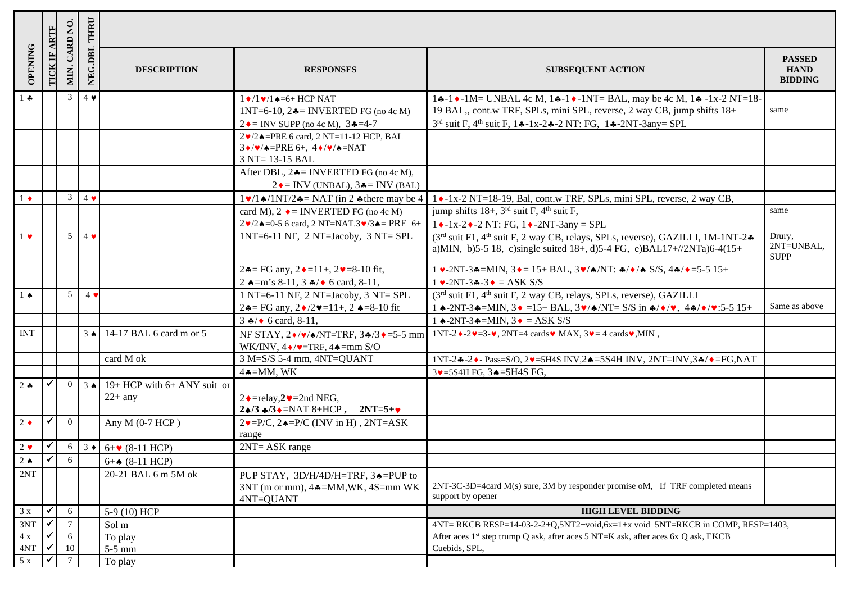|               |                          | CARD NO.        | THRU              |                                                                   |                                                                                                                             |                                                                                                                                                                                     |                                                |
|---------------|--------------------------|-----------------|-------------------|-------------------------------------------------------------------|-----------------------------------------------------------------------------------------------------------------------------|-------------------------------------------------------------------------------------------------------------------------------------------------------------------------------------|------------------------------------------------|
| OPENING       |                          | MIN.            | NEG.DBL           | <b>DESCRIPTION</b>                                                | <b>RESPONSES</b>                                                                                                            | <b>SUBSEQUENT ACTION</b>                                                                                                                                                            | <b>PASSED</b><br><b>HAND</b><br><b>BIDDING</b> |
| $\frac{1}{2}$ |                          | $\mathfrak{Z}$  | $4 \bullet$       |                                                                   | $1 \cdot 1 \cdot 1 \cdot 1 = -6 + HCP$ NAT                                                                                  | 14-14-1M= UNBAL 4c M, 14-14-1NT= BAL, may be 4c M, 14-1x-2 NT=18-                                                                                                                   |                                                |
|               |                          |                 |                   |                                                                   | 1NT=6-10, $2\clubsuit$ = INVERTED FG (no 4c M)                                                                              | 19 BAL,, cont.w TRF, SPLs, mini SPL, reverse, 2 way CB, jump shifts 18+                                                                                                             | same                                           |
|               |                          |                 |                   |                                                                   | $2 \triangleq$ INV SUPP (no 4c M), 3♣=4-7                                                                                   | $3^{rd}$ suit F, $4^{th}$ suit F, $1 \div -1 x - 2 \div -2 N T$ : FG, $1 \div -2 N T - 3 a n y = SPL$                                                                               |                                                |
|               |                          |                 |                   |                                                                   | $2 \cdot 2 \cdot 2 =$ PRE 6 card, 2 NT=11-12 HCP, BAL                                                                       |                                                                                                                                                                                     |                                                |
|               |                          |                 |                   |                                                                   | $3\blacklozenge/\blacktriangledown/\blacktriangle = PRE 6+, 4\blacklozenge/\blacktriangledown/\blacktriangle = NAT$         |                                                                                                                                                                                     |                                                |
|               |                          |                 |                   |                                                                   | 3 NT= 13-15 BAL                                                                                                             |                                                                                                                                                                                     |                                                |
|               |                          |                 |                   |                                                                   | After DBL, $2\clubsuit$ = INVERTED FG (no 4c M),                                                                            |                                                                                                                                                                                     |                                                |
|               |                          |                 |                   |                                                                   | $2 \triangle = \text{INV}$ (UNBAL), $3 \triangle = \text{INV}$ (BAL)                                                        |                                                                                                                                                                                     |                                                |
| $1 \bullet$   |                          | 3               | $4 \bullet$       |                                                                   | $1\blacktriangleright$ /1 $\blacktriangle$ /1NT/2 $\blacktriangle$ = NAT (in 2 $\blacktriangle$ there may be 4              | 1 • 1x-2 NT=18-19, Bal, cont.w TRF, SPLs, mini SPL, reverse, 2 way CB,                                                                                                              |                                                |
|               |                          |                 |                   |                                                                   | card M), $2 \triangleleft$ = INVERTED FG (no 4c M)                                                                          | jump shifts $18+$ , $3^{\text{rd}}$ suit F, $4^{\text{th}}$ suit F,                                                                                                                 | same                                           |
|               |                          |                 |                   |                                                                   | $2 \cdot 2 \cdot 2 = 0.5$ 6 card, 2 NT=NAT.3 $\cdot$ /3 $\cdot =$ PRE 6+                                                    | $1 \cdot -1x-2 \cdot -2NT$ : FG, $1 \cdot -2NT-3any = SPL$                                                                                                                          |                                                |
| $1 \bullet$   |                          | $5\overline{)}$ | $4 \bullet$       |                                                                   | $1NT=6-11$ NF, $2 NT=Jacoby$ , $3 NT= SPI$                                                                                  | (3 <sup>rd</sup> suit F1, 4 <sup>th</sup> suit F, 2 way CB, relays, SPLs, reverse), GAZILLI, 1M-1NT-2.<br>a)MIN, b)5-5 18, c)single suited $18+, d$ )5-4 FG, e)BAL17+//2NTa)6-4(15+ | Drury,<br>2NT=UNBAL,<br><b>SUPP</b>            |
|               |                          |                 |                   |                                                                   | $2\clubsuit$ = FG any, $2\blacklozenge$ = 11+, $2\blacktriangledown$ = 8-10 fit,                                            | $1 \cdot 2NT - 3 = MIN$ , $3 \cdot 15 + BAL$ , $3 \cdot 7 \cdot NT$ : $4/\sqrt{8}$ S/S, $44/\sqrt{15} - 5.515 + 1.5$                                                                |                                                |
|               |                          |                 |                   |                                                                   | 2 $\triangle = m$ 's 8-11, 3 $\angle \diamond$ 6 card, 8-11,                                                                | $1 \cdot -2NT - 3 \cdot -3 \cdot = ASK S/S$                                                                                                                                         |                                                |
| $1 \bullet$   |                          | 5               | 4 <sub>9</sub>    |                                                                   | $1 NT=6-11 NF$ , $2 NT=Jacoby$ , $3 NT= SPI$                                                                                | (3 <sup>rd</sup> suit F1, 4 <sup>th</sup> suit F, 2 way CB, relays, SPLs, reverse), GAZILLI                                                                                         |                                                |
|               |                          |                 |                   |                                                                   | 24= FG any, $2\bullet/2\bullet=11+, 2\bullet=8-10$ fit                                                                      | 1 ^-2NT-3 *=MIN, $3 \cdot = 15 + \text{BAL}$ , $3 \cdot / \text{A/NT} = S/S$ in $\frac{1}{2} \cdot / \text{A/N} = 5.515 +$                                                          | Same as above                                  |
|               |                          |                 |                   |                                                                   | $3 \div 6$ card, 8-11,                                                                                                      | 1 $\triangle$ -2NT-3 $\triangle$ =MIN, 3 $\triangle$ = ASK S/S                                                                                                                      |                                                |
| <b>INT</b>    |                          |                 | $3 \triangleleft$ | 14-17 BAL 6 card m or 5                                           | WK/INV, $4 \cdot / \cdot = TRF$ , $4 \cdot = mm$ S/O                                                                        | NF STAY, $2\cdot/\sqrt{\triangleleft}$ NT=TRF, $3\cdot/3\cdot=5.5$ mm 1NT-2 $\cdot$ -2 $\cdot$ =3- $\cdot$ , 2NT=4 cards $\cdot$ MAX, $3\cdot=4$ cards $\cdot$ , MIN,               |                                                |
|               |                          |                 |                   | card M ok                                                         | $3$ M=S/S 5-4 mm, $4NT=QUANT$                                                                                               | 1NT-2.4-2. • Pass=S/O, 2. • = 5H4S INV, 2. • = 5S4H INV, 2NT=INV, 3. • / • = FG, NAT                                                                                                |                                                |
|               |                          |                 |                   |                                                                   | $4\clubsuit = MM$ , WK                                                                                                      | $3\blacktriangleright$ =5S4H FG, $3\blacktriangle$ =5H4S FG,                                                                                                                        |                                                |
| $2 - 2$       |                          | $\overline{0}$  |                   | $\frac{1}{3}$ $\uparrow$ 19+ HCP with 6+ ANY suit or<br>$22+$ any | $2 \cdot =$ relay, $2 \cdot = 2$ nd NEG,<br>$2\spadesuit/3 \spadesuit/3 \spadesuit$ =NAT 8+HCP, 2NT=5+ $\blacktriangledown$ |                                                                                                                                                                                     |                                                |
| $2 \bullet$   | $\checkmark$             | $\Omega$        |                   | Any $M$ (0-7 HCP)                                                 | $2\blacktriangleright = P/C$ , $2\blacktriangle = P/C$ (INV in H), $2NT = ASK$<br>range                                     |                                                                                                                                                                                     |                                                |
| $2 \bullet$   |                          | 6               | $3 \bullet$       | $6 + 9$ (8-11 HCP)                                                | $2NT = ASK$ range                                                                                                           |                                                                                                                                                                                     |                                                |
| $2^*$         | $\vert \checkmark \vert$ | 6               |                   | $6 + 4$ (8-11 HCP)                                                |                                                                                                                             |                                                                                                                                                                                     |                                                |
| 2NT           |                          |                 |                   | 20-21 BAL 6 m 5M ok                                               | PUP STAY, 3D/H/4D/H=TRF, 3A=PUP to                                                                                          |                                                                                                                                                                                     |                                                |
|               |                          |                 |                   |                                                                   | $3NT$ (m or mm), $4\clubsuit = MM, WK, 4S = mm WK$<br>4NT=QUANT                                                             | 2NT-3C-3D=4card M(s) sure, 3M by responder promise oM, If TRF completed means<br>support by opener                                                                                  |                                                |
| 3x            | $\checkmark$             | 6               |                   | 5-9 (10) HCP                                                      |                                                                                                                             | <b>HIGH LEVEL BIDDING</b>                                                                                                                                                           |                                                |
| 3NT           |                          |                 |                   | Sol m                                                             |                                                                                                                             | $4NT = RKCB RESP = 14-03-2-2+Q,5NT2+void, 6x=1+x$ void $5NT = RKCB$ in COMP, $RESP = 1403$ ,                                                                                        |                                                |
| 4x            |                          | -6              |                   | To play                                                           |                                                                                                                             | After aces 1 <sup>st</sup> step trump Q ask, after aces 5 NT=K ask, after aces 6x Q ask, EKCB                                                                                       |                                                |
| 4NT           |                          | 10              |                   | $5-5$ mm                                                          |                                                                                                                             | Cuebids, SPL,                                                                                                                                                                       |                                                |
| 5x            |                          |                 |                   | To play                                                           |                                                                                                                             |                                                                                                                                                                                     |                                                |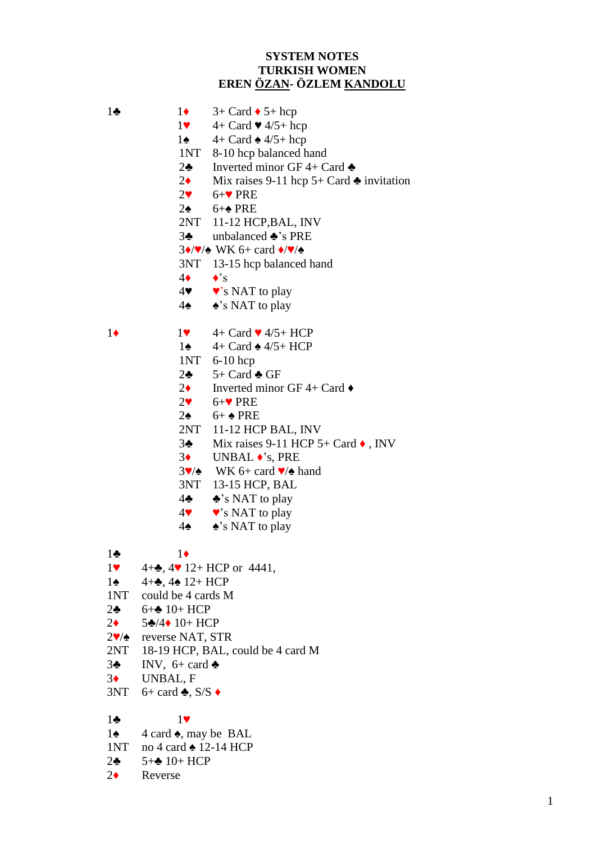### **SYSTEM NOTES TURKISH WOMEN EREN ÖZAN- ÖZLEM KANDOLU**

- 1 $\bullet$  1 $\bullet$  3+ Card  $\bullet$  5+ hcp 1 $\bullet$  4+ Card  $\bullet$  4/5+ hcp 1 $\triangle$  4+ Card  $\triangle$  4/5+ hcp 1NT 8-10 hcp balanced hand 2 $\bullet$  Inverted minor GF 4+ Card  $\bullet$ 2 $\bullet$  Mix raises 9-11 hcp 5+ Card  $\bullet$  invitation 2♥ 6+♥ PRE 2♠ 6+♠ PRE 2NT 11-12 HCP,BAL, INV 3♣ unbalanced ♣'s PRE  $3\cdot/\sqrt{4}$  WK 6+ card  $\cdot/\sqrt{4}$ 3NT 13-15 hcp balanced hand  $4\bullet \bullet$ 's  $4\blacktriangledown$   $\blacktriangledown$ 's NAT to play 4♠ ♠'s NAT to play  $1\bullet$   $1\bullet$   $4 +$  Card  $\bullet$  4/5+ HCP 1♠ 4+ Card ♠ 4/5+ HCP 1NT 6-10 hcp 2 $\clubsuit$  5+ Card  $\clubsuit$  GF 2 $\bullet$  Inverted minor GF 4+ Card  $\bullet$  $2\bullet 6+\bullet$  PRE 2♠ 6+ ♠ PRE 2NT 11-12 HCP BAL, INV 3♣ Mix raises 9-11 HCP 5+ Card ♦ , INV 3♦ UNBAL ♦'s, PRE  $3\blacktriangledown/\blacktriangle$  WK 6+ card  $\blacktriangledown/\blacktriangle$  hand 3NT 13-15 HCP, BAL 4♣ ♣'s NAT to play  $4\bullet\bullet\bullet\bullet$ 's NAT to play 4♠ ♠'s NAT to play 1♣ 1♦ 1 $\bullet$  4+ $\bullet$ , 4 $\bullet$  12+ HCP or 4441, 1**♠**  $4+$ **♣**,  $4$ **♠**  $12+$  HCP 1NT could be 4 cards M 2♣ 6+♣ 10+ HCP 2♦ 5♣/4♦ 10+ HCP 2♥/♠ reverse NAT, STR 2NT 18-19 HCP, BAL, could be 4 card M  $3\clubsuit$  INV,  $6+$  card  $\clubsuit$ 3♦ UNBAL, F  $3NT \quad 6+ \text{ card}$   $\clubsuit$ ,  $S/S \rightarrow$ 1♣ 1♥ 1 $\triangle$  4 card  $\triangle$ , may be BAL
- 1NT no 4 card ♠ 12-14 HCP
- 2♣ 5+♣ 10+ HCP
- 2♦ Reverse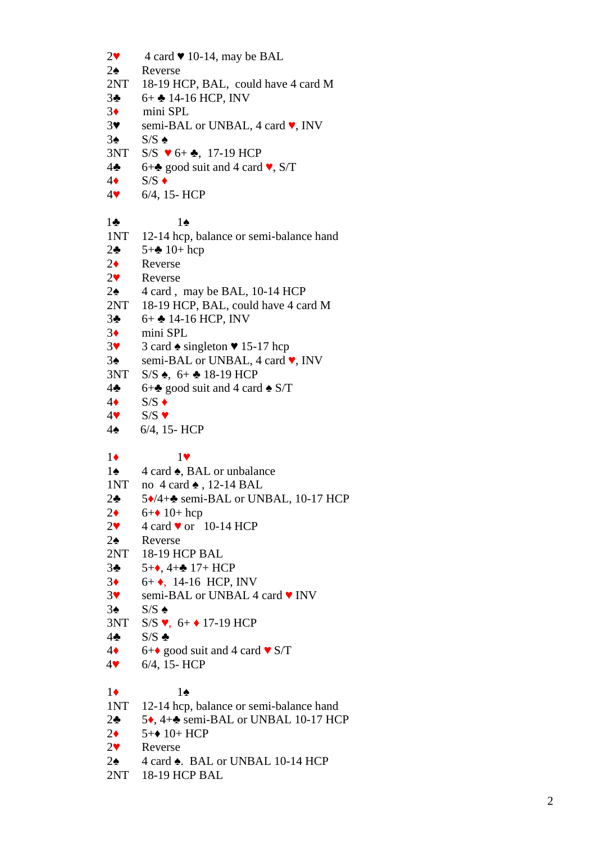$2^{\bullet}$  $\blacktriangleright$  4 card  $\blacktriangleright$  10-14, may be BAL  $2\spadesuit$ ♠ Reverse  $2NT$ -19 HCP, BAL, could have 4 card M  $3<sub>2</sub>$  $\clubsuit$  6+ $\clubsuit$  14-16 HCP, INV  $3<sup>4</sup>$ mini SPL  $3<sup>4</sup>$ ♥ semi -BAL or UNBAL, 4 card ♥, INV  $3<sub>•</sub>$ ♠ S/S ♠  $3NT$  $\blacktriangledown$  6+  $\clubsuit$ , 17-19 HCP 4 ♣ 6+ $\triangle$  good suit and 4 card  $\vee$ , S/T  $4\bullet$  $\bullet$  S/S  $\bullet$  $4$  $\blacktriangledown$  $\bullet$  6/4, 15- HCP 1 ♣ 1 ♠  $1NT$ -14 hcp, balance or semi -balance hand 2 ♣  $5 + 10 + hcp$  $2\bullet$ **Reverse**  $2<sup>4</sup>$ **Reverse**  $2\spadesuit$ ♠ 4 card , may be BAL, 10 -14 HCP  $2NT$ -19 HCP, BAL, could have 4 card M  $3<sub>2</sub>$  $\clubsuit$  6+ $\clubsuit$  14-16 HCP, INV  $3<sub>+</sub>$ mini SPL  $3<sup>4</sup>$  $\bullet$  3 card  $\bullet$  singleton  $\bullet$  15-17 hcp  $3\spadesuit$ ♠ semi -BAL or UNBAL, 4 card ♥, INV 3NT  $S/S$   $\spadesuit$ ,  $6 + \clubsuit 18 - 19$  HCP 4 ♣ 6+ $\triangle$  good suit and 4 card  $\triangle$  S/T  $4\bullet$  $\bullet$  S/S  $\bullet$  $4$  $\blacktriangledown$ ♥ S/S ♥  $4\spadesuit$  $\bullet$  6/4, 15- HCP 1 ♦ 1 ♥  $1\spadesuit$ ♠ 4 card ♠, BAL or unbalance 1NT no 4 card ♠ , 12 -14 BAL 2 ♣ 5◆/4+→ semi-BAL or UNBAL, 10-17 HCP 2 ♦  $6 + 10 + hcp$  $2^{\bullet}$  $\blacktriangleright$  4 card  $\blacktriangleright$  or 10-14 HCP  $2\spadesuit$ ♠ Reverse 2NT 18 -19 HCP BAL  $3<sub>2</sub>$  $\clubsuit$  5+ $\spadesuit$ , 4+ $\clubsuit$  17+ HCP  $3<sub>+</sub>$  $\leftrightarrow$  6+ $\leftrightarrow$ , 14-16 HCP, INV  $3<sup>4</sup>$ ▼ semi-BAL or UNBAL 4 card ♥ INV  $3<sub>•</sub>$ ♠ S/S ♠  $3NT$  $\bullet$ , 6+  $\bullet$  17-19 HCP  $4<sub>2</sub>$ ♣ S/S ♣ 4 ♦ 6+ $\bullet$  good suit and 4 card  $\bullet$  S/T  $4$  $\blacktriangledown$  $\bullet$  6/4, 15- HCP 1 ♦ 1 ♠  $1NT$ -14 hcp, balance or semi-balance hand 2 ♣ 5◆, 4+◆ semi-BAL or UNBAL 10-17 HCP  $2\bullet$  $\leftrightarrow$  5+ $\leftrightarrow$  10+ HCP  $2 \bullet$ **Reverse**  $2\spadesuit$ ♠ 4 card ♠. BAL or UNBAL 10 -14 HCP 2NT 18 -19 HCP BAL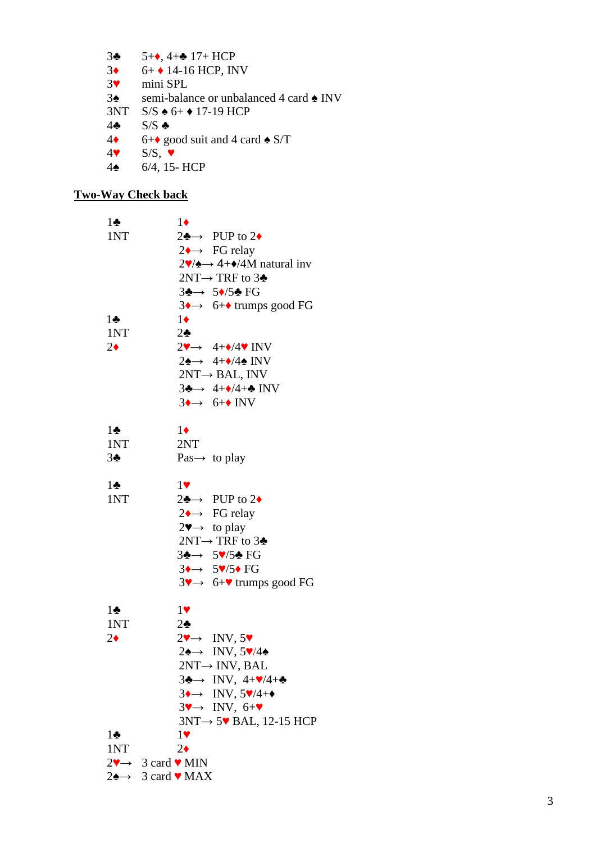$3<sub>2</sub>$  $\clubsuit$  5+ $\spadesuit$ , 4+ $\clubsuit$  17+ HCP  $3<sup>4</sup>$  $\leftrightarrow$  6+  $\leftrightarrow$  14-16 HCP, INV  $3<sup>4</sup>$ mini SPL  $3\spadesuit$ ♠ semi -balance or unbalanced 4 card ♠ INV 3NT  $S/S \triangleq 6+$   $\triangleq$  17-19 HCP 4 ♣ S/S ♣ 4 ♦ 6+ $\bullet$  good suit and 4 card  $\bullet$  S/T 4  $\bullet$  S/S,  $\bullet$  $4\spadesuit$  $\triangle$  6/4, 15- HCP

#### **Two -Way Check back**

| $1\clubsuit$   | $1\bullet$                                                                           |
|----------------|--------------------------------------------------------------------------------------|
| 1NT            | $2\clubsuit \rightarrow$ PUP to 2+                                                   |
|                | $2 \rightarrow \text{FG relay}$                                                      |
|                | $2\blacktriangledown/\blacktriangle \rightarrow 4+\blacktriangledown/4M$ natural inv |
|                | 2NT→ TRF to $3\clubsuit$                                                             |
|                | $3\clubsuit \rightarrow 5\spadesuit/5\clubsuit$ FG                                   |
|                | $3 \rightarrow 6 + \bullet$ trumps good FG                                           |
| $1\bullet$     | $1\bullet$                                                                           |
| 1NT            | $2\clubsuit$                                                                         |
| $2\bullet$     | $2\rightarrow 4+\sqrt{4}\sqrt{N}$ INV                                                |
|                | $2\spadesuit \rightarrow 4+\spadesuit/4\spadesuit$ INV                               |
|                | $2NT \rightarrow BAL$ , INV                                                          |
|                | $3\clubsuit \rightarrow 4+\bullet/4+\bullet$ INV                                     |
|                | $3 \rightarrow 6 + \text{INV}$                                                       |
|                |                                                                                      |
| $1\bullet$     | $1\bullet$                                                                           |
| 1NT            | 2NT                                                                                  |
| 3 <sub>2</sub> | Pas $\rightarrow$ to play                                                            |
|                |                                                                                      |
| $1\clubsuit$   | 1                                                                                    |
| 1NT            | $2\clubsuit \rightarrow$ PUP to 2+                                                   |
|                | $2 \rightarrow \text{FG relay}$                                                      |
|                | $2\blacktriangledown \rightarrow \infty$ to play                                     |
|                | $2NT \rightarrow TRF$ to 3♣                                                          |
|                | $3\clubsuit \rightarrow 5\sqrt{5}$ FG                                                |
|                | $3 \rightarrow 5 \sqrt{5} \cdot FG$                                                  |
|                | $3\rightarrow 6+\sqrt{1}$ trumps good FG                                             |
|                |                                                                                      |
| $1\bullet$     | 1                                                                                    |
| 1NT            | $2\bullet$                                                                           |
| $2\bullet$     | $2\rightarrow$ INV, 5                                                                |
|                | $2\spadesuit \rightarrow \text{INV}, 5\spadesuit/4\spadesuit$                        |
|                | $2NT \rightarrow INV$ , BAL                                                          |
|                | $3\clubsuit \rightarrow$ INV, $4+\sqrt{4+\clubsuit}$                                 |
|                | $3 \rightarrow \text{INV}, 5 \overline{\mathbf{v}} / 4 + \bullet$                    |
|                | $3\rightarrow$ INV, $6+\rightarrow$                                                  |
|                | $3NT \rightarrow 5$ BAL, 12-15 HCP                                                   |
| $1\clubsuit$   | 1                                                                                    |
| 1NT            | $2\bullet$                                                                           |
|                | $2\mathbf{v} \rightarrow 3 \text{ card } \mathbf{v}$ MIN                             |
|                | $2\spadesuit \rightarrow 3$ card $\blacktriangledown$ MAX                            |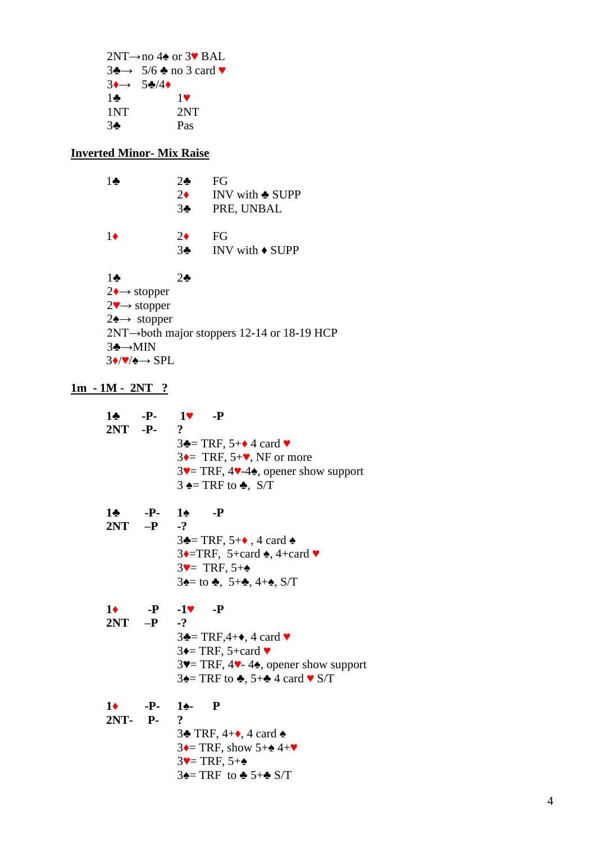2NT→no 4♠ or 3♥ BAL  $3\clubsuit \rightarrow 5/6\clubsuit$  no 3 card  $\blacktriangledown$  $3 \rightarrow 5 \frac{1}{2}$  $1\bullet$   $1\bullet$ <br>1NT  $2NT$  $1NT$ 3♣ Pas

# **Inverted Minor- Mix Raise**

| 1♣                                          | $2\clubsuit$   | FG                                                       |
|---------------------------------------------|----------------|----------------------------------------------------------|
|                                             | $2\bullet$     | INV with $\clubsuit$ SUPP                                |
|                                             | 3 <sub>2</sub> | PRE, UNBAL                                               |
| 1♦                                          | $2\bullet$     | FG                                                       |
|                                             | 3 <sub>2</sub> | INV with $\bullet$ SUPP                                  |
| $1\clubsuit$                                | $2\clubsuit$   |                                                          |
| $2 \rightarrow$ stopper                     |                |                                                          |
| $2 \rightarrow$ stopper                     |                |                                                          |
| $2 \rightarrow$ stopper                     |                |                                                          |
|                                             |                | $2NT \rightarrow$ both major stoppers 12-14 or 18-19 HCP |
| $3 \rightarrow MIN$                         |                |                                                          |
| $3\rightarrow\sqrt{\bullet}\rightarrow$ SPL |                |                                                          |

## **1m - 1M - 2NT ?**

|            |              | $1 \cdot \cdot \cdot - P - 1 \cdot \cdot - P$                                               |
|------------|--------------|---------------------------------------------------------------------------------------------|
|            | $2NT - P$    | $\mathbf{?}$                                                                                |
|            |              | $3\clubsuit$ TRF, 5+ $\spadesuit$ 4 card $\blacktriangledown$                               |
|            |              | $3 \leftarrow \text{TRF}, 5+\text{V}, \text{NF} \text{ or more}$                            |
|            |              | $3\blacktriangledown$ TRF, 4 $\blacktriangledown$ -4 $\blacktriangle$ , opener show support |
|            |              | $3 \triangle = TRF$ to $\triangle$ , S/T                                                    |
| 1♣ -       | $-P-1$       | $-P$                                                                                        |
|            | $2NT - P$ -? |                                                                                             |
|            |              | $3\triangle$ = TRF, 5+ $\triangle$ , 4 card $\triangle$                                     |
|            |              | $3 \rightarrow$ TRF, 5+card $\bullet$ , 4+card $\bullet$                                    |
|            |              | $3\text{V}$ TRF, $5+\text{A}$                                                               |
|            |              | $3\spadesuit$ = to $\clubsuit$ , 5+ $\clubsuit$ , 4+ $\spadesuit$ , S/T                     |
|            |              |                                                                                             |
| $1\bullet$ |              | $-P$ $-1$ $\vee$ $-P$                                                                       |
|            | $2NT - P$ -? |                                                                                             |
|            |              | $3\clubsuit = TRF, 4+\bullet, 4$ card $\blacktriangledown$                                  |
|            |              | $3 \leftarrow$ TRF, 5+card $\blacktriangledown$                                             |
|            |              | $3\blacktriangledown$ TRF, 4 $\blacktriangledown$ -4 $\blacktriangle$ , opener show support |
|            |              | 34 TRF to 4, 5+4 4 card $\triangledown$ S/T                                                 |
|            |              | $1 \bullet \quad P - 1 \bullet \quad P$                                                     |
|            | 2NT- P-      | $\overline{\mathbf{?}}$                                                                     |
|            |              | 34 TRF, $4+\bullet$ , 4 card $\bullet$                                                      |
|            |              | $3 \leftarrow$ TRF, show $5 + \leftarrow 4 + \mathbf{V}$                                    |
|            |              | $3$ v = TRF, $5+\triangle$                                                                  |
|            |              |                                                                                             |

```
3\spadesuit= TRF to \clubsuit 5+\spadesuit S/T
```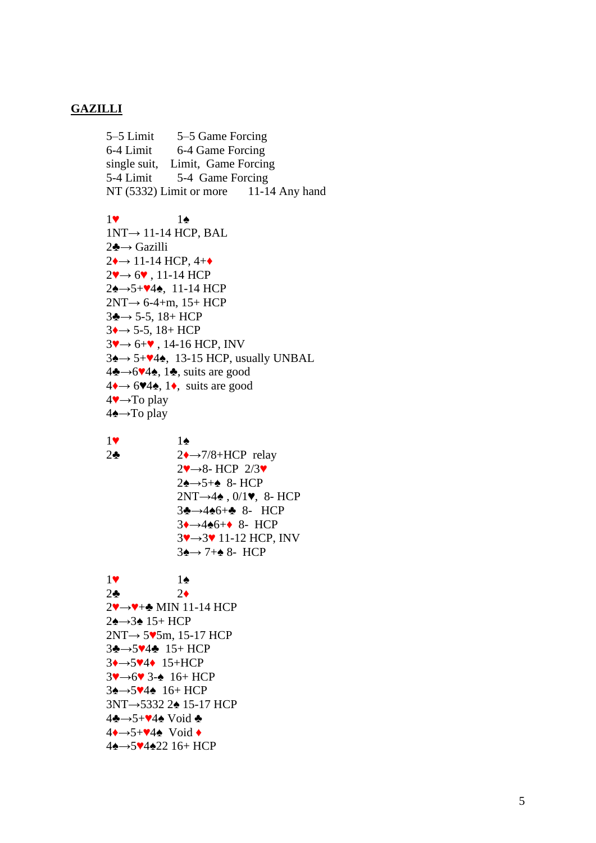#### **GAZILLI**

5–5 Limit 5 –5 Game Forcing 6 -4 Limit 6 -4 Game Forcing single suit , Limit, Game Forcing 5 -4 Limit 5 -4 Game Forcing  $NT(5332)$  Limit or more -14 Any hand

```
1
♥
                      1
♠
1NT
→ 11
-14 HCP, BAL
2♣→ Gazilli
2 \rightarrow 11-14 HCP, 4+\bullet2\rightarrow 6\rightarrow 11-14 HCP
2 \triangle \rightarrow 5 + 4 \triangle, 11-14 HCP
2NT \rightarrow 6-4+m, 15+ HCP
3 \rightarrow 5 - 5, 18+ HCP
3 \rightarrow 5-5, 18+ HCP
3\rightarrow 6+\bullet, 14-16 HCP, INV
3 \rightarrow 5 + 4 \rightarrow 13 - 15 HCP, usually UNBAL
4\clubsuit \rightarrow 6\blacktriangledown 4\spadesuit, suits are good
4 \rightarrow 6 \times 4 \rightarrow 1 \rightarrow, suits are good
4. To play→
4<del>4</del>→To play
```
1 ♥ 2 ♣ 1 ♠ 2<sup>→</sup>7/8+HCP relay  $2 \rightarrow 8$ - HCP  $2/3 \rightarrow$ 2<br />
<sub>→5+</sub><br />
<sub>8</sub>-HCP  $2NT \rightarrow 4$ ,  $0/1$ , 8- HCP 3<del>∗→4•</del>6+• 8- HCP  $3 \rightarrow 4 \cdot 6 + \cdot 8$ - HCP 3V→3V 11-12 HCP, INV  $3\rightarrow 7+\cdot 8$ - HCP

```
1
♥
                  1
♠
2
♣
                  2
♦
2 \rightarrow \rightarrow \rightarrow \text{MIN} 11-14 \text{ HCP}24→34 15+ HCP
2NT \rightarrow 5\blacktriangleright 5m, 15-17 HCP
3♣→5♥4♣ 15+ HCP
3↓→5♥4◆ 15+HCP
3 \rightarrow 6 \rightarrow 3 - 4 16+ HCP
34→5V44 16+ HCP
3NT→5332 2<del>4</del> 15-17 HCP
4♣→5+♥4♠ Void ♣
4↓→5+♥4↑ Void ◆
44→5♥4422 16+ HCP
```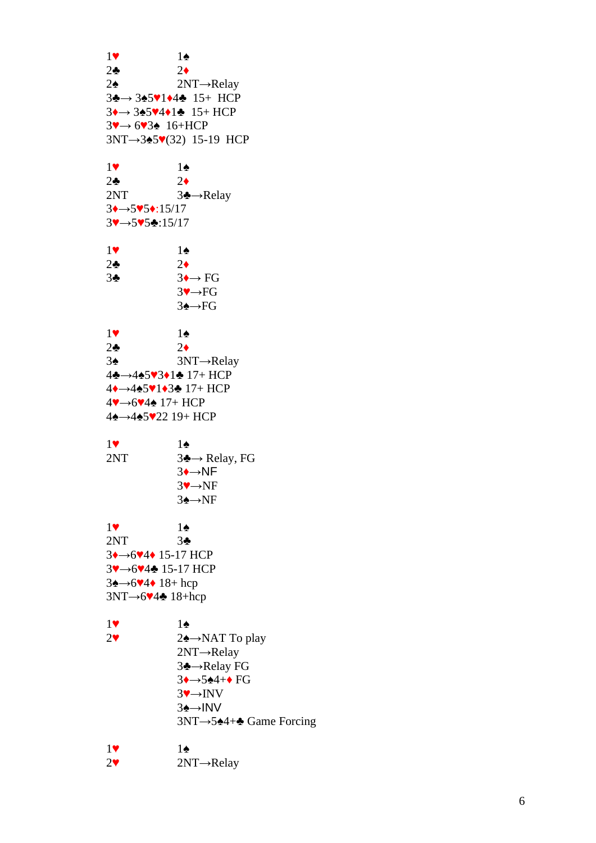1 ♥ 1 ♠ 2 ♣ 2 ♦  $2\spadesuit$ ♠ 2NT →Relay 3**∻**→ 3◆5▼1◆4◆ 15+ HCP  $3 \rightarrow 3 \cdot 5 \cdot 4 \cdot 1 \cdot 15 + HCP$  $3 \rightarrow 6 \rightarrow 3 \cdot 16 + HCP$ 3NT→3 $\bullet$ 5V(32) 15-19 HCP 1 ♥ 1 ♠ 2 ♣ 2 ♦ 2NT 3 ♣ →Relay 3♦→5♥5♦:15/17 3♥→5♥5♣:15/17 1 ♥ 1 ♠ 2 ♣ 2 ♦ 3 ♣  $3 \rightarrow \text{FG}$ 3 ♥ →FG 3**∗**→FG 1 ♥ 1 ♠ 2 ♣ 2 ♦  $3\spadesuit$ ♠ 3NT →Relay 4♣→4♠5♥3♦1♣ 17+ HCP 4◆→4◆5▼1◆3◆ 17+ HCP 4♥→6♥4♠ 17+ HCP 4**4→445♥22** 19+ HCP 1 ♥ 1 ♠ 2NT 3 ♣ → Relay, FG 3**◆→NF**  $3 \rightarrow \text{NF}$ 3**≙**→NF 1 ♥ 1 ♠ 2NT 3 ♣ 3**↓→6♥4◆** 15-17 HCP 3V→6V4♣ 15-17 HCP 3<del>4→6∨4</del> + 18+ hcp  $3NT \rightarrow 6 \vee 4 \cdot 18 + hcp$ 1 ♥ 1 ♠  $2\blacktriangledown$ 2<del>4</del>→NAT To play 2NT→Relay 3**÷**→Relay FG 3**→**→5◆4+◆ FG  $3 \rightarrow \text{INV}$ 3 ♠ →INV 3NT→5 $*4+$  Game Forcing 1 ♥ 1 ♠  $2^{\vee}$  $\blacktriangleright$  2NT $\rightarrow$ Relay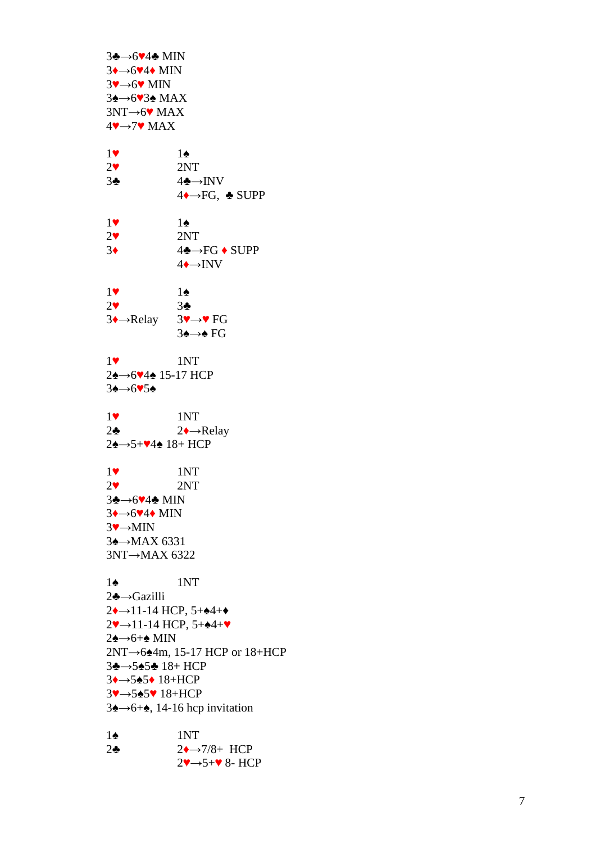3♣→6♥4♣ MIN  $3 \rightarrow 6 \rightarrow 4 \rightarrow$  MIN  $3$ V $\rightarrow$ 6V MIN 3**4→6V34** MAX 3NT→6<sup>•</sup> MAX  $4 \rightarrow 7 \rightarrow \text{MAX}$ 1 ♥ 1 ♠  $2^{\bullet}$ 2NT 3 ♣ 4♣→INV 4<sup>→→</sup>FG, ↑ SUPP 1 ♥ 1 ♠  $2^{\bullet}$ 2NT 3 ♦ 4 ♣ →FG ♦ SUPP 4**↓→INV** 1 ♥ 1 ♠  $2\blacktriangledown$ 3 ♣ 3 ♦ →Relay 3v→v FG 3 ♠ → ♠ FG 1 1NT 2<del>2→6∨42</del> 15-17 HCP 3♠→6♥5♠ 1 1NT 2 ♣ 2**→**Relay 2<del>¢→5+V4¢</del> 18+ HCP 1 1NT  $2^{\bullet}$ 2NT 3♣→6♥4♣ MIN  $3 \rightarrow 6 \rightarrow 4 \rightarrow$  MIN  $3 \rightarrow MIN$ 3 ♠ → MAX 6331 3NT → MAX 6322  $1\spadesuit$ ♠ 1NT 2♣→Gazilli  $2 \rightarrow 11$ -14 HCP, 5+ $\blacktriangle 4 + \blacktriangle$  $2 \rightarrow 11 - 14$  HCP,  $5 + 4 + \bullet$ 2♠→6+♠ MIN 2NT→6 $\triangle 4$ m, 15-17 HCP or 18+HCP 3♣→5♠5♣ 18+ HCP 3**↓→5±5◆ 18+HCP** 3V→545V 18+HCP  $3\rightarrow 6+\bullet$ , 14-16 hcp invitation  $1\spadesuit$ ♠ 1NT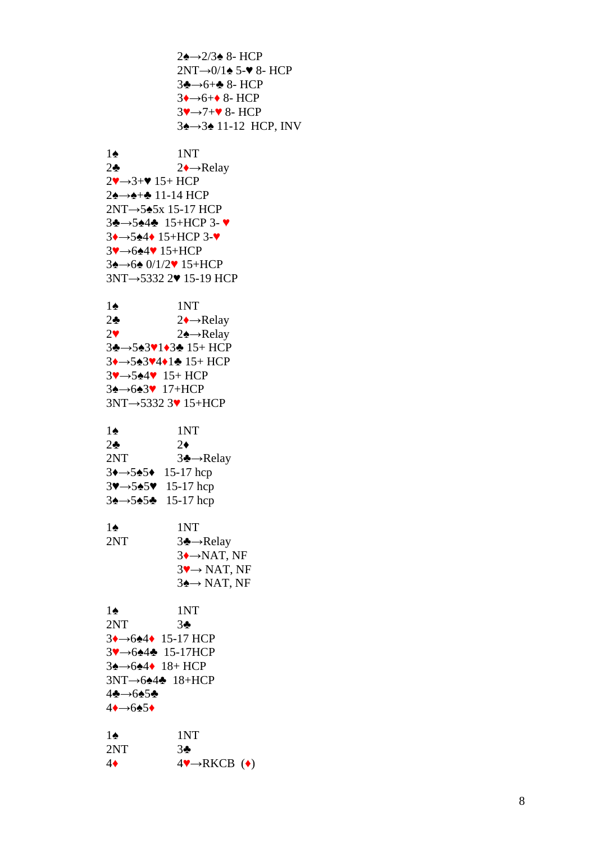```
2<del>4→</del>2/3<del>4</del> 8- HCP
2NT \rightarrow 0/1 \triangle 5-\blacktriangledown 8- HCP
3♣→6+♣ 8- HCP
3↓→6+◆ 8- HCP
3V→7+V 8- HCP
34→34 11-12 HCP, INV
```
 $1\spadesuit$ ♠ 1NT 2 ♣ 2**→**Relay  $2 \rightarrow 3 + 9$  15+ HCP 2**≙→≙+÷** 11-14 HCP 2NT→5 $\triangle$ 5x 15-17 HCP 3♣→5♠4♣ 15+HCP 3-♥ 3**→→5◆4◆ 15+HCP 3-**▼ 3V→624V 15+HCP 3<del>4→64</del> 0/1/2♥ 15+HCP 3NT→5332 2♥ 15-19 HCP  $1\spadesuit$ ♠ 1NT 2 ♣ 2**→**Relay  $2\blacktriangledown$ 2 ♠ →Relay 3♣→5♠3♥1◆3♣ 15+ HCP 3◆→5◆3▼4◆1◆ 15+ HCP 3V→5<sup> $\triangle 4$ </sup> 15+ HCP 3**4→643** 17+HCP 3NT→5332 3<sup>•</sup> 15+HCP  $1\spadesuit$ ♠ 1NT 2 ♣ 2 ♦ 2NT 3 ♣ →Relay 3**→**→5• 15-17 hcp 3♥→5♠5♥ 15-17 hcp 3<del>4→5454</del> 15-17 hcp  $1\spadesuit$ ♠ 1NT 2NT 3 ♣ →Relay  $3 \rightarrow \text{NAT}$ , NF  $3 \rightarrow \text{NAT}$ , NF  $3 \triangle \rightarrow \text{NAT}, \text{NF}$  $1\spadesuit$ ♠ 1NT 2NT 3 ♣ 3**↓→6◆4◆** 15-17 HCP 3V→6242 15-17HCP 3**4→644** 18+ HCP  $3NT \rightarrow 6$ 242  $18+HCP$ 4♣→6♠5♣

4♦→6  $1\spadesuit$ ♠ 1NT 2NT 3 ♣

4 ♦ 4V→RKCB (◆)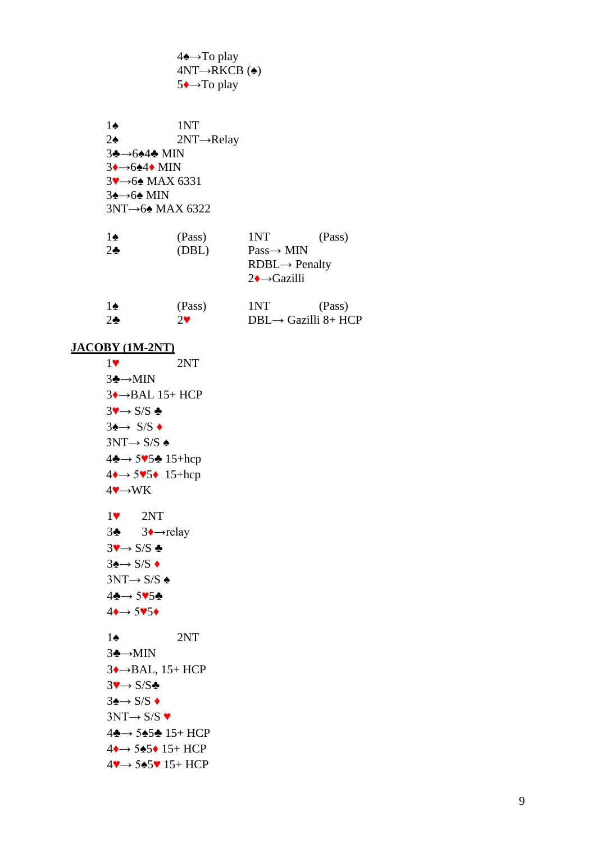4♠→To play  $4NT \rightarrow RKCB$  ( $\triangleq$ ) 5♦→To play

1♠ 1NT 2♠ 2NT→Relay 3♣→6♠4♣ MIN 3♦→6♠4♦ MIN 3♥→6♠ MAX 6331 3♠→6♠ MIN 3NT→6♠ MAX 6322

| 1♠           | (Pass) | 1NT                        | (Pass) |
|--------------|--------|----------------------------|--------|
| $2\clubsuit$ | (DBL)  | $Pass \rightarrow MIN$     |        |
|              |        | $RDBL \rightarrow$ Penalty |        |
|              |        | $2 \rightarrow Gazilli$    |        |
|              |        |                            |        |

| 1♠           | (Pass)     | 1NT                              | (Pass) |
|--------------|------------|----------------------------------|--------|
| $2\clubsuit$ | $2\bullet$ | $DBL \rightarrow$ Gazilli 8+ HCP |        |

### **JACOBY (1M-2NT)**

1♥ 2NT 3♣→MIN  $3 \rightarrow BAL$  15+ HCP  $3 \rightarrow S/S$   $\clubsuit$  $3 \rightarrow S/S$  +  $3NT \rightarrow S/S$   $\triangle$ 4♣→ 5♥5♣ 15+hcp  $4\rightarrow 5\sqrt{5}$  15+hcp  $4 \rightarrow WK$  1♥ 2NT 3♣ 3♦→relay  $3 \rightarrow S/S$   $\clubsuit$  $3\spadesuit \rightarrow S/S$  ♦  $3NT \rightarrow S/S$   $\triangle$ 4♣→ 5♥5♣  $4 \rightarrow 5 \times 5 \rightarrow$ 1♠ 2NT 3♣→MIN 3♦→BAL, 15+ HCP  $3 \rightarrow S/S$  $3 \rightarrow S/S$   $\rightarrow$  $3NT \rightarrow S/S$ 4♣→ 5♠5♣ 15+ HCP 4♦→ 5♠5♦ 15+ HCP 4♥→ 5♠5♥ 15+ HCP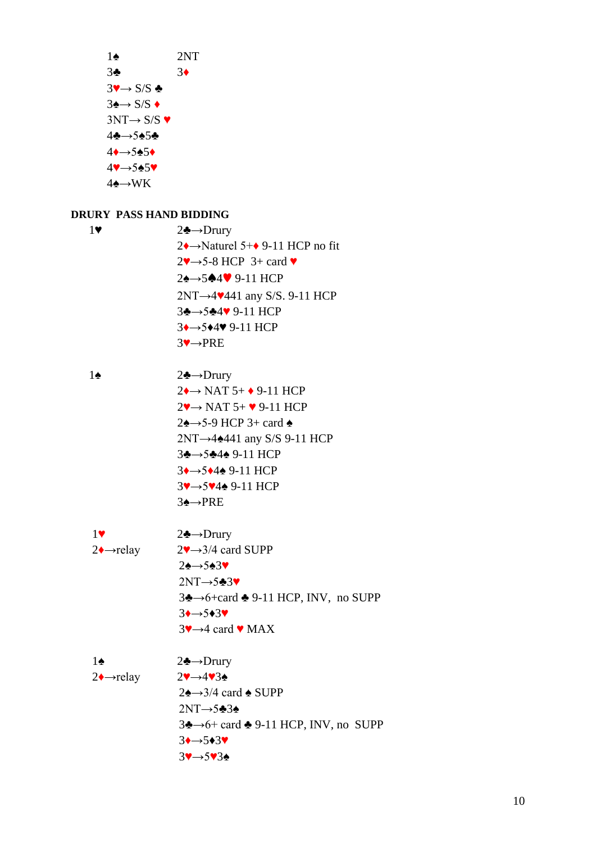1♠ 2NT 3♣ 3♦  $3 \rightarrow S/S$   $\clubsuit$  $3\spadesuit \rightarrow S/S \spadesuit$  $3NT \rightarrow S/S$   $\blacktriangledown$ 4♣→5♠5♣  $4 \rightarrow 5 \cdot 5 \cdot 5$ 4♥→5♠5♥  $4$ ♠→WK

### **DRURY PASS HAND BIDDING**

| 17 | $2 \triangle \rightarrow$ Drury                            |
|----|------------------------------------------------------------|
|    | $2\rightarrow$ Naturel 5+ $\rightarrow$ 9-11 HCP no fit    |
|    | $2\rightarrow 5-8$ HCP 3+ card $\blacktriangledown$        |
|    | $2\spadesuit \rightarrow 5\spadesuit 4\spadesuit 9-11$ HCP |
|    | $2NT \rightarrow 4$ . 4441 any S/S. 9-11 HCP               |
|    | $3 \rightarrow 5 \rightarrow 4 \vee 9 - 11$ HCP            |
|    | $3 \rightarrow 5 \rightarrow 4 \times 9 - 11$ HCP          |
|    | $3 \rightarrow PRE$                                        |
|    |                                                            |

| 1♠ | $2 \triangle \rightarrow$ Drury                          |
|----|----------------------------------------------------------|
|    | $2 \rightarrow$ NAT 5+ $\rightarrow$ 9-11 HCP            |
|    | $2\rightarrow$ NAT 5+ $\bullet$ 9-11 HCP                 |
|    | $2\spadesuit \rightarrow 5-9$ HCP 3+ card $\spadesuit$   |
|    | $2NT \rightarrow 4$ : 4441 any S/S 9-11 HCP              |
|    | $3\clubsuit \rightarrow 5\clubsuit 4\spadesuit 9-11$ HCP |
|    | $3 \rightarrow 5 \rightarrow 4 \rightarrow 9 - 11$ HCP   |
|    | $3 \rightarrow 5 \rightarrow 4 \rightarrow 9-11$ HCP     |
|    | $3 \rightarrow PRE$                                      |
|    |                                                          |

| 17                    | $2 \triangle \rightarrow$ Drury                                                        |
|-----------------------|----------------------------------------------------------------------------------------|
| $2 \rightarrow$ relay | $2\blacktriangledown \rightarrow 3/4$ card SUPP                                        |
|                       | $2 \rightarrow 5 \rightarrow 3 \rightarrow$                                            |
|                       | $2NT \rightarrow 5\cdot 3$                                                             |
|                       | $3\clubsuit \rightarrow 6 + \text{card } \spadesuit 9 - 11 \text{ HCP}$ , INV, no SUPP |
|                       | $3 \rightarrow 5 \rightarrow 3$                                                        |
|                       | $3\rightarrow 4$ card $\bullet$ MAX                                                    |

1♠ 2♣→Drury  $2\rightarrow$ relay  $2\rightarrow$ 4♥3♠  $2\spadesuit \rightarrow 3/4$  card  $\spadesuit$  SUPP  $2NT \rightarrow 5$  $\clubsuit$ 3♠ 3♣→6+ card ♣ 9-11 HCP, INV, no SUPP  $3 \rightarrow 5 \rightarrow 3 \rightarrow$ 3♥→5♥3♠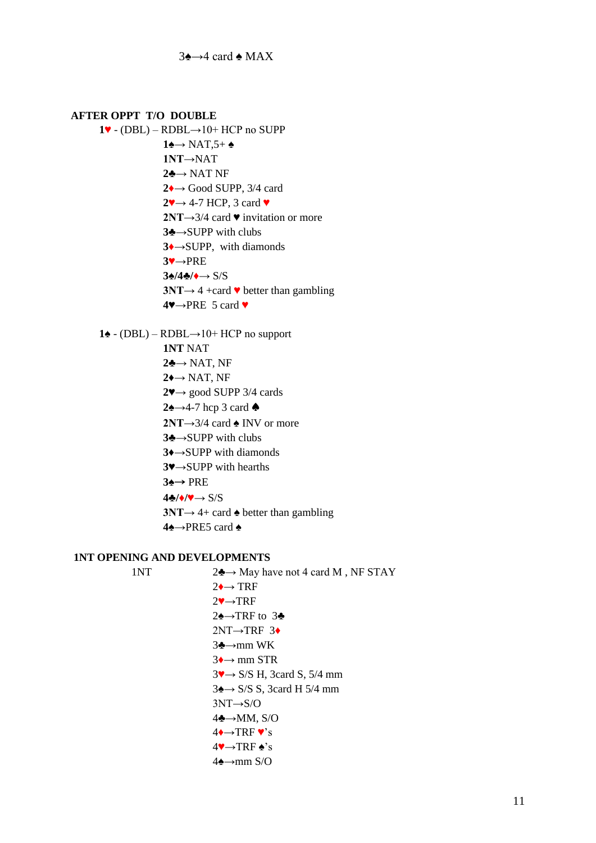#### **AFTER OPPT T/O DOUBLE**

**1♥** - (DBL) – RDBL→10+ HCP no SUPP **1♠→** NAT,5+ ♠ **1NT→**NAT **2♣→** NAT NF **2♦→** Good SUPP, 3/4 card **2♥→** 4-7 HCP, 3 card ♥ **2NT→**3/4 card ♥ invitation or more **3♣→**SUPP with clubs **3♦→**SUPP, with diamonds **3♥→**PRE **3♠/4♣/♦→** S/S **3NT→** 4 +card  $\blacktriangledown$  better than gambling **4♥→**PRE 5 card ♥

**1♠** - (DBL) – RDBL→10+ HCP no support

**1NT** NAT **2♣→** NAT, NF **2♦→** NAT, NF **2♥→** good SUPP 3/4 cards **2♠→**4-7 hcp 3 card ♠ **2NT→**3/4 card ♠ INV or more **3♣→**SUPP with clubs **3♦→**SUPP with diamonds **3♥→**SUPP with hearths **3♠**→ PRE **4♣/♦/♥→** S/S **3NT**→ 4+ card  $\triangle$  better than gambling **4♠→**PRE5 card ♠

#### **1NT OPENING AND DEVELOPMENTS**

1NT  $2\clubsuit \rightarrow$  May have not 4 card M, NF STAY  $2 \rightarrow \text{TRF}$ 2♥→TRF 2♠→TRF to 3♣ 2NT→TRF 3♦ 3♣→mm WK  $3 \rightarrow \text{mm}$  STR 3♥→ S/S H, 3card S, 5/4 mm  $3 \rightarrow S/S S$ , 3card H 5/4 mm  $3NT \rightarrow S/O$ 4♣→MM, S/O  $4 \rightarrow \text{TRF} \cdot s$  $4 \rightarrow \text{TRF} \cdot s$  $4\rightarrow$ mm S/O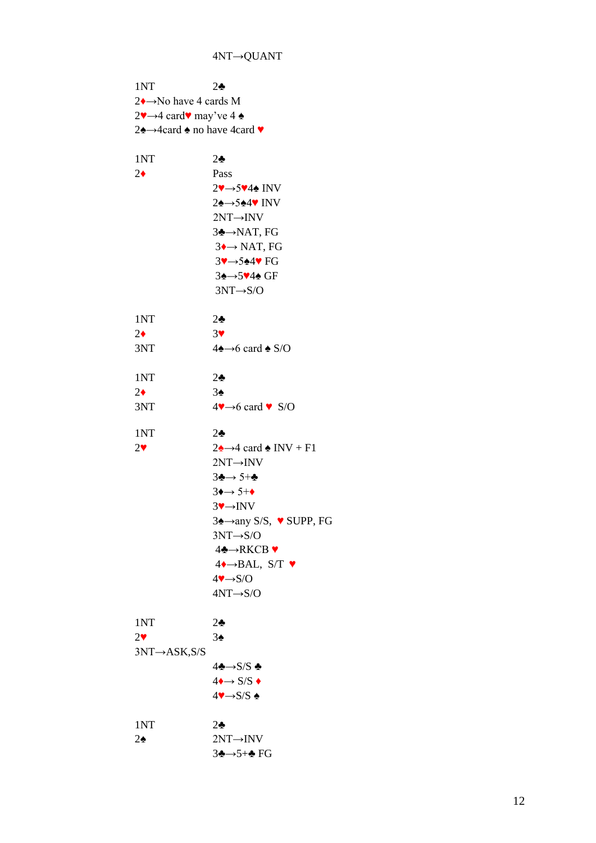1NT 2♣ 2♦→No have 4 cards M 2 $\rightarrow$ 4 card $\bullet$  may've 4  $\bullet$ 2♠→4card ♠ no have 4card ♥ 1NT 2♣ 2♦ Pass 2♥→5♥4♠ INV 2♠→5♠4♥ INV 2NT→INV 3♣→NAT, FG  $3 \rightarrow \text{NAT}$ , FG 3♥→5♠4♥ FG 3♠→5♥4♠ GF 3NT→S/O 1NT 2♣  $2\bullet$  3 3NT  $4\blacktriangle \rightarrow 6$  card  $\blacktriangle$  S/O 1NT 2♣  $2\bullet$  3 $\bullet$ 3NT  $4\blacktriangledown \rightarrow 6$  card  $\blacktriangledown$  S/O 1NT 2♣ 2♥  $2\blacktriangle \rightarrow 4$  card  $\blacktriangle$  INV + F1 2NT→INV 3♣→ 5+♣  $3 \rightarrow 5^{+} \rightarrow$ 3♥→INV 3♠→any S/S, ♥ SUPP, FG 3NT→S/O 4♣→RKCB ♥  $4 \rightarrow BAL$ , S/T  $\blacktriangledown$  $4 \rightarrow S/O$ 4NT→S/O 1NT 2♣ 2♥ 3♠ 3NT→ASK,S/S  $4\clubsuit\rightarrow$ S/S ♣  $4 \rightarrow S/S \rightarrow$  $4 \rightarrow S/S$  ♠ 1NT 2♣  $2\spadesuit$  2NT→INV 3♣→5+♣ FG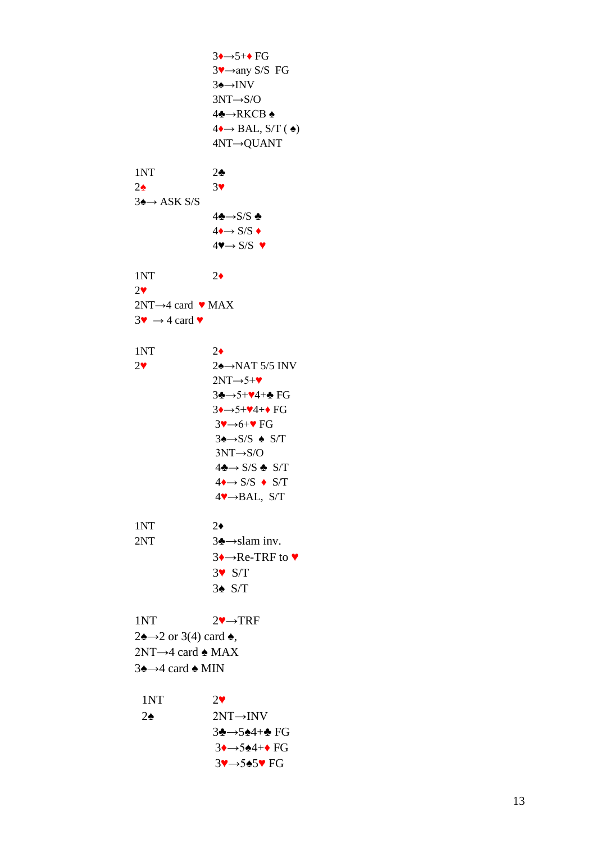$3 \rightarrow 5 + \rightarrow FG$  $3$ <sup>v</sup> $\rightarrow$ any S/S FG 3**∗→**INV 3NT→ S/O 4 ♣→RKCB ♠  $4 \rightarrow BAL$ , S/T ( $\triangle$ ) 4NT→QUANT 1NT 2 ♣  $2$ ♠ 3 ♥  $3 \triangle \rightarrow ASK S/S$ 4♣→S/S ♣  $4 \rightarrow S/S$  ◆  $4 \rightarrow S/S \rightarrow$ 1NT 2 ♦  $2\blacktriangledown$  $2NT \rightarrow 4$  card  $\vee$  MAX  $3\blacktriangledown \rightarrow 4$  card  $\blacktriangledown$ 1NT 2 ♦ 2 ♥ 2<sup> $\triangle$ →NAT 5/5 INV</sup>  $2NT \rightarrow 5+\blacktriangledown$ 3♣→5+♥4+♣ FG  $3 \rightarrow 5 + 4 + \bullet FG$  $3 \rightarrow 6 + \bullet$  FG  $3 \triangle \rightarrow S/S \triangle \text{S/T}$ 3NT→S/ O  $4\clubsuit \rightarrow S/S \clubsuit S/T$  $4 \rightarrow S/S \rightarrow S/T$ 4 ♥ → BAL, S/T 1NT 2 ♦ 2NT  $3 \rightarrow$ slam inv. 3◆→Re-TRF to ♥ 3 ♥ S/T 3 ♠ S/T 1NT  $2 \rightarrow \text{TRF}$  $2\spadesuit \rightarrow 2$  or 3(4) card  $\spadesuit$ ,  $2NT \rightarrow 4$  card  $\triangle$  MAX 3<del>¢</del>→4 card **↑** MIN 1NT  $2\blacktriangledown$  $2\spadesuit$  $2NT\rightarrow INV$ 3♣→5♠4+♣ F G 3**→**→5◆4+◆ FG 3♥→5♠5♥ FG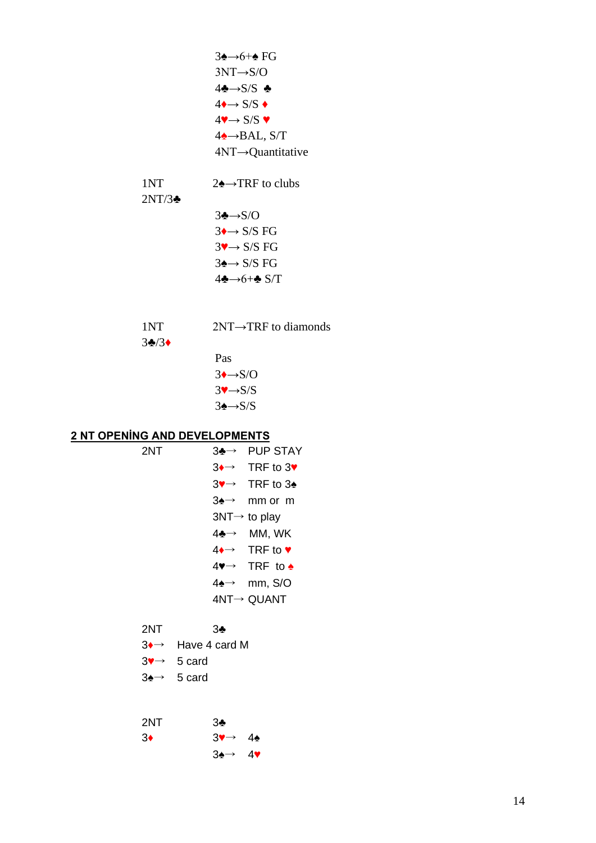| $3\rightarrow 6+\rightarrow FG$                            |
|------------------------------------------------------------|
| $3NT \rightarrow S/O$                                      |
| 4♣→S/S ♣                                                   |
| $4 \rightarrow S/S$ $\rightarrow$                          |
| $4\blacktriangledown \rightarrow$ S/S $\blacktriangledown$ |
| $4\rightarrow$ BAL, S/T                                    |
| $4NT \rightarrow$ Quantitative                             |
|                                                            |

1NT  $2\rightarrow$  TRF to clubs

2NT/3♣

| $3 \rightarrow S/O$   |
|-----------------------|
| $3 \rightarrow S/SFG$ |
| $3 \rightarrow S/SFG$ |
| $3 \rightarrow S/SFG$ |
| 4♣→6+♣ S/T            |

| 1NT | $2NT \rightarrow TRF$ to diamonds |
|-----|-----------------------------------|
|     |                                   |

3♣/3♦

Pas  $3 \rightarrow S/O$  $3 \rightarrow S/S$  $3 \triangle \rightarrow S/S$ 

# **2 NT OPENİNG AND DEVELOPMENTS**

| 2NT |     | $3 \rightarrow \rightarrow PUP$ STAY                     |
|-----|-----|----------------------------------------------------------|
|     |     | $3 \rightarrow \text{TRF}$ to $3 \rightarrow \text{TRF}$ |
|     |     | $3 \rightarrow \text{TRF}$ to $3 \cdot$                  |
|     | 3♠→ | mm or m                                                  |
|     |     | $3NT \rightarrow$ to play                                |
|     |     | $4\clubsuit \rightarrow$ MM, WK                          |
|     |     | $4 \rightarrow \text{TRF to } \bullet$                   |
|     |     | $4\bullet \rightarrow$ TRF to $\bullet$                  |
|     | 4♠→ | mm, S/O                                                  |
|     |     | $4NT \rightarrow QUANT$                                  |
|     |     |                                                          |

# 2NT 3♣

3♥→ 5 card

3♠→ 5 card

| 2NT        | 3♣                            |  |
|------------|-------------------------------|--|
| $3\bullet$ | $3 \rightarrow 4 \bullet$     |  |
|            | $3 \rightarrow 4 \rightarrow$ |  |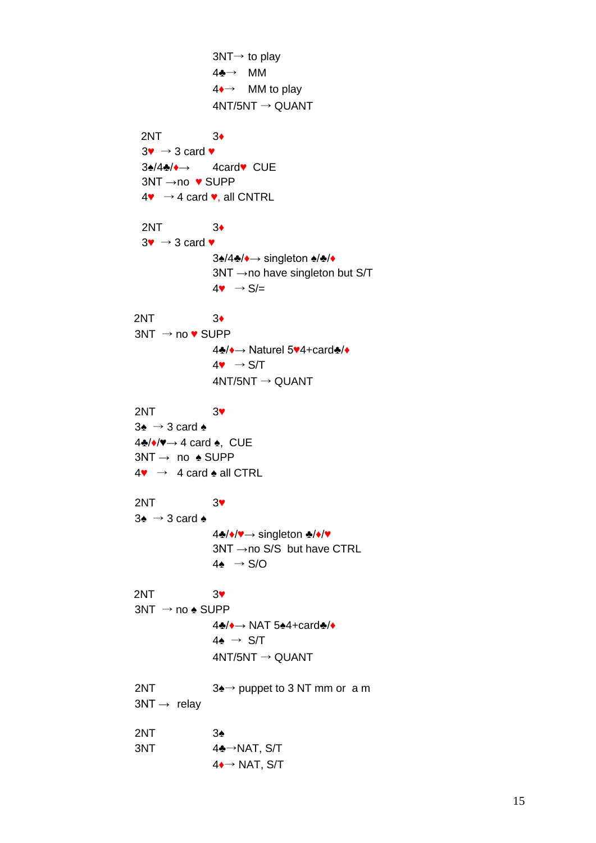3NT→ to play 4♣→ MM 4♦→ MM to play  $4NT/5NT \rightarrow QUANT$ 2NT 3♦  $3\mathbf{v} \rightarrow 3$  card  $\mathbf{v}$ 3♠/4♣/♦→ 4card♥ CUE 3NT →no ♥ SUPP  $4\bullet \rightarrow 4$  card  $\bullet$ , all CNTRL 2NT 3♦  $3\mathbf{v} \rightarrow 3$  card  $\mathbf{v}$ 3♠/4♣/♦→ singleton ♠/♣/♦  $3NT \rightarrow no$  have singleton but S/T  $4 \bullet \rightarrow S/I =$ 2NT 3♦  $3NT \rightarrow no$   $\blacktriangleright$  SUPP 4♣/♦→ Naturel 5♥4+card♣/♦  $4\bullet \rightarrow S/T$  $4NT/5NT \rightarrow QUANT$ 2NT 3♥  $3\spadesuit \rightarrow 3$  card  $\spadesuit$ 4♣/♦/♥→ 4 card ♠, CUE  $3NT \rightarrow no \triangle$  SUPP  $4\bullet$   $\rightarrow$  4 card  $\bullet$  all CTRL 2NT 3♥  $3\spadesuit \rightarrow 3$  card  $\spadesuit$ 4♣/♦/♥→ singleton ♣/♦/♥ 3NT →no S/S but have CTRL  $4\spadesuit \rightarrow S/O$ 2NT 3♥  $3NT \rightarrow no \triangle SUPP$ 4♣/♦→ NAT 5♠4+card♣/♦  $4\spadesuit \rightarrow S/T$  $4NT/5NT \rightarrow QUANT$ 2NT  $3\rightarrow$  puppet to 3 NT mm or a m  $3NT \rightarrow$  relay 2NT 3♠  $3NT$  4 $\clubsuit \rightarrow$ NAT, S/T  $4 \rightarrow$  NAT, S/T